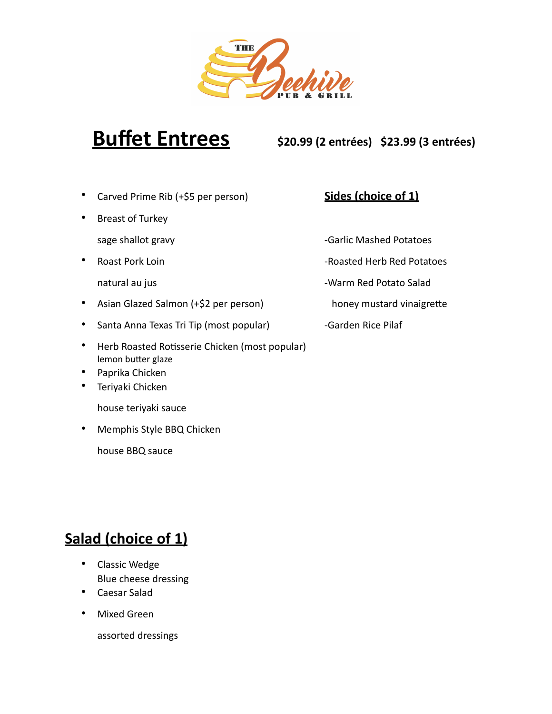

**Buffet Entrees \$20.99 (2 entrées) \$23.99 (3 entrées)**

- Carved Prime Rib (+\$5 per person) **Sides (choice of 1)**
- Breast of Turkey
	-
- -
- Asian Glazed Salmon (+\$2 per person) honey mustard vinaigrette
- Santa Anna Texas Tri Tip (most popular) Garden Rice Pilaf
- Herb Roasted Rotisserie Chicken (most popular) lemon butter glaze
- Paprika Chicken
- Teriyaki Chicken

house teriyaki sauce

• Memphis Style BBQ Chicken

house BBQ sauce

- sage shallot gravy and the control of the Garlic Mashed Potatoes
- **Francisch Pork Loin** Francisch Communist Construction Roasted Herb Red Potatoes
	- natural au jus Warm Red Potato Salad
		-
		-

# **Salad (choice of 1)**

- Classic Wedge Blue cheese dressing
- Caesar Salad
- Mixed Green

assorted dressings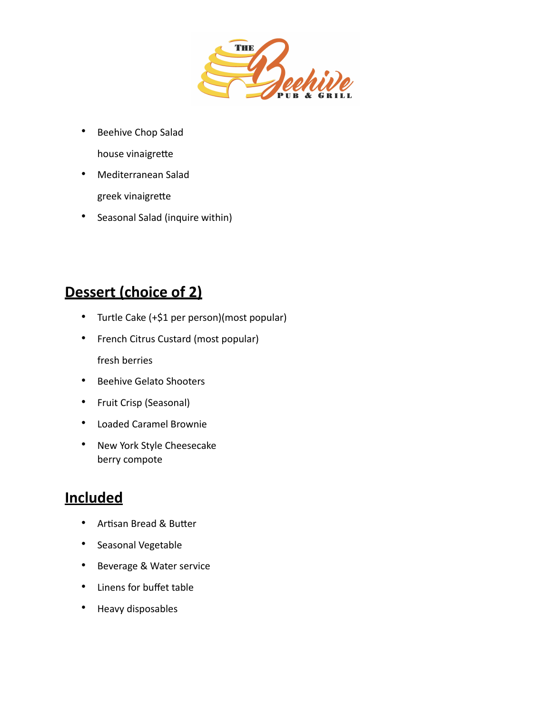

- Beehive Chop Salad house vinaigrette
- Mediterranean Salad greek vinaigrette
- Seasonal Salad (inquire within)

## **Dessert (choice of 2)**

- Turtle Cake (+\$1 per person)(most popular)
- French Citrus Custard (most popular) fresh berries
- Beehive Gelato Shooters
- Fruit Crisp (Seasonal)
- Loaded Caramel Brownie
- New York Style Cheesecake berry compote

### **Included**

- Artisan Bread & Butter
- Seasonal Vegetable
- Beverage & Water service
- Linens for buffet table
- Heavy disposables